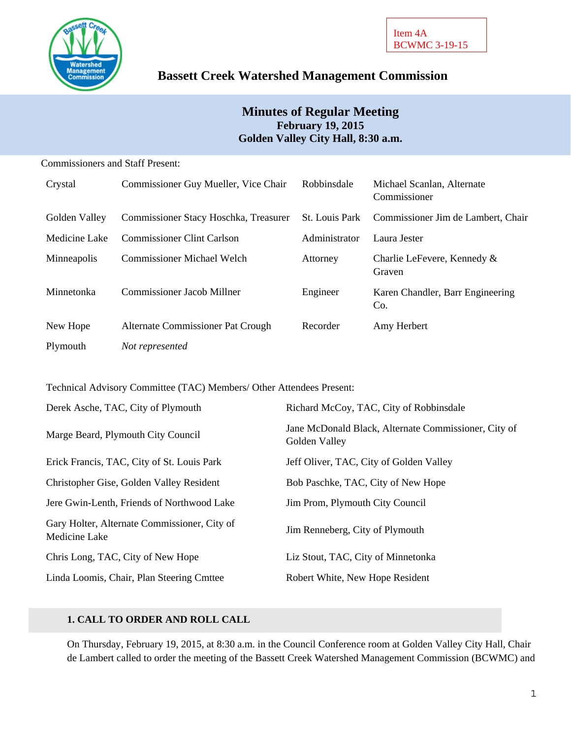

# **Bassett Creek Watershed Management Commission**

# **Minutes of Regular Meeting February 19, 2015 Golden Valley City Hall, 8:30 a.m.**

### Commissioners and Staff Present:

| Crystal       | Commissioner Guy Mueller, Vice Chair  | Robbinsdale           | Michael Scanlan, Alternate<br>Commissioner |
|---------------|---------------------------------------|-----------------------|--------------------------------------------|
| Golden Valley | Commissioner Stacy Hoschka, Treasurer | <b>St.</b> Louis Park | Commissioner Jim de Lambert, Chair         |
| Medicine Lake | <b>Commissioner Clint Carlson</b>     | Administrator         | Laura Jester                               |
| Minneapolis   | <b>Commissioner Michael Welch</b>     | Attorney              | Charlie LeFevere, Kennedy &<br>Graven      |
| Minnetonka    | Commissioner Jacob Millner            | Engineer              | Karen Chandler, Barr Engineering<br>Co.    |
| New Hope      | Alternate Commissioner Pat Crough     | Recorder              | Amy Herbert                                |
| Plymouth      | Not represented                       |                       |                                            |

Technical Advisory Committee (TAC) Members/ Other Attendees Present:

| Derek Asche, TAC, City of Plymouth                            | Richard McCoy, TAC, City of Robbinsdale                               |
|---------------------------------------------------------------|-----------------------------------------------------------------------|
| Marge Beard, Plymouth City Council                            | Jane McDonald Black, Alternate Commissioner, City of<br>Golden Valley |
| Erick Francis, TAC, City of St. Louis Park                    | Jeff Oliver, TAC, City of Golden Valley                               |
| Christopher Gise, Golden Valley Resident                      | Bob Paschke, TAC, City of New Hope                                    |
| Jere Gwin-Lenth, Friends of Northwood Lake                    | Jim Prom, Plymouth City Council                                       |
| Gary Holter, Alternate Commissioner, City of<br>Medicine Lake | Jim Renneberg, City of Plymouth                                       |
| Chris Long, TAC, City of New Hope                             | Liz Stout, TAC, City of Minnetonka                                    |
| Linda Loomis, Chair, Plan Steering Cmttee                     | Robert White, New Hope Resident                                       |

# **1. CALL TO ORDER AND ROLL CALL**

On Thursday, February 19, 2015, at 8:30 a.m. in the Council Conference room at Golden Valley City Hall, Chair de Lambert called to order the meeting of the Bassett Creek Watershed Management Commission (BCWMC) and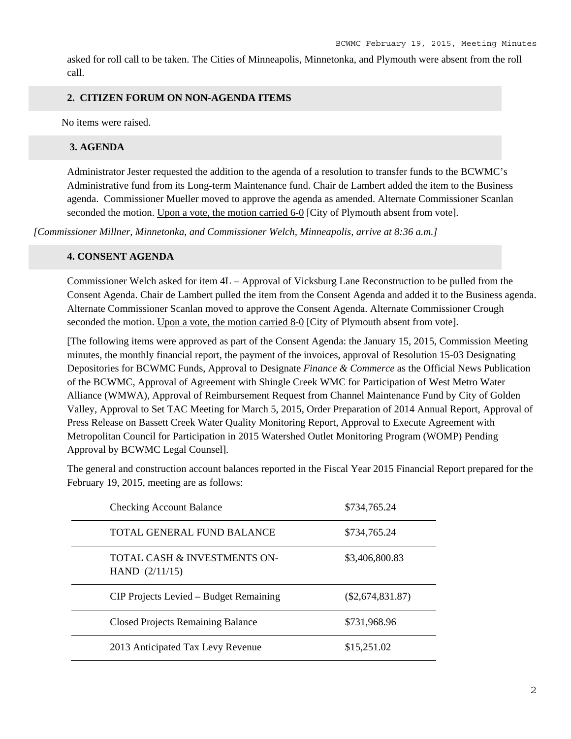asked for roll call to be taken. The Cities of Minneapolis, Minnetonka, and Plymouth were absent from the roll call.

## **2. CITIZEN FORUM ON NON-AGENDA ITEMS**

No items were raised.

### **3. AGENDA**

Administrator Jester requested the addition to the agenda of a resolution to transfer funds to the BCWMC's Administrative fund from its Long-term Maintenance fund. Chair de Lambert added the item to the Business agenda. Commissioner Mueller moved to approve the agenda as amended. Alternate Commissioner Scanlan seconded the motion. Upon a vote, the motion carried 6-0 [City of Plymouth absent from vote].

*[Commissioner Millner, Minnetonka, and Commissioner Welch, Minneapolis, arrive at 8:36 a.m.]* 

## **4. CONSENT AGENDA**

Commissioner Welch asked for item 4L – Approval of Vicksburg Lane Reconstruction to be pulled from the Consent Agenda. Chair de Lambert pulled the item from the Consent Agenda and added it to the Business agenda. Alternate Commissioner Scanlan moved to approve the Consent Agenda. Alternate Commissioner Crough seconded the motion. Upon a vote, the motion carried 8-0 [City of Plymouth absent from vote].

[The following items were approved as part of the Consent Agenda: the January 15, 2015, Commission Meeting minutes, the monthly financial report, the payment of the invoices, approval of Resolution 15-03 Designating Depositories for BCWMC Funds, Approval to Designate *Finance & Commerce* as the Official News Publication of the BCWMC, Approval of Agreement with Shingle Creek WMC for Participation of West Metro Water Alliance (WMWA), Approval of Reimbursement Request from Channel Maintenance Fund by City of Golden Valley, Approval to Set TAC Meeting for March 5, 2015, Order Preparation of 2014 Annual Report, Approval of Press Release on Bassett Creek Water Quality Monitoring Report, Approval to Execute Agreement with Metropolitan Council for Participation in 2015 Watershed Outlet Monitoring Program (WOMP) Pending Approval by BCWMC Legal Counsel].

The general and construction account balances reported in the Fiscal Year 2015 Financial Report prepared for the February 19, 2015, meeting are as follows:

| <b>Checking Account Balance</b>                  | \$734,765.24       |
|--------------------------------------------------|--------------------|
| <b>TOTAL GENERAL FUND BALANCE</b>                | \$734,765.24       |
| TOTAL CASH & INVESTMENTS ON-<br>HAND $(2/11/15)$ | \$3,406,800.83     |
| CIP Projects Levied – Budget Remaining           | $(\$2,674,831.87)$ |
| <b>Closed Projects Remaining Balance</b>         | \$731,968.96       |
| 2013 Anticipated Tax Levy Revenue                | \$15,251.02        |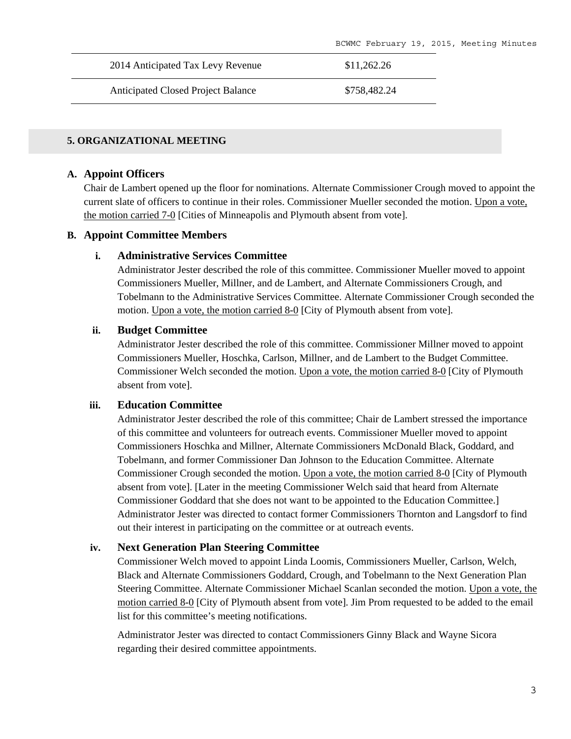| 2014 Anticipated Tax Levy Revenue         | \$11.262.26  |
|-------------------------------------------|--------------|
| <b>Anticipated Closed Project Balance</b> | \$758.482.24 |

#### **5. ORGANIZATIONAL MEETING**

#### **A. Appoint Officers**

Chair de Lambert opened up the floor for nominations. Alternate Commissioner Crough moved to appoint the current slate of officers to continue in their roles. Commissioner Mueller seconded the motion. Upon a vote, the motion carried 7-0 [Cities of Minneapolis and Plymouth absent from vote].

#### **B. Appoint Committee Members**

#### **i. Administrative Services Committee**

Administrator Jester described the role of this committee. Commissioner Mueller moved to appoint Commissioners Mueller, Millner, and de Lambert, and Alternate Commissioners Crough, and Tobelmann to the Administrative Services Committee. Alternate Commissioner Crough seconded the motion. Upon a vote, the motion carried 8-0 [City of Plymouth absent from vote].

#### **ii. Budget Committee**

Administrator Jester described the role of this committee. Commissioner Millner moved to appoint Commissioners Mueller, Hoschka, Carlson, Millner, and de Lambert to the Budget Committee. Commissioner Welch seconded the motion. Upon a vote, the motion carried 8-0 [City of Plymouth absent from vote].

### **iii. Education Committee**

Administrator Jester described the role of this committee; Chair de Lambert stressed the importance of this committee and volunteers for outreach events. Commissioner Mueller moved to appoint Commissioners Hoschka and Millner, Alternate Commissioners McDonald Black, Goddard, and Tobelmann, and former Commissioner Dan Johnson to the Education Committee. Alternate Commissioner Crough seconded the motion. Upon a vote, the motion carried 8-0 [City of Plymouth absent from vote]. [Later in the meeting Commissioner Welch said that heard from Alternate Commissioner Goddard that she does not want to be appointed to the Education Committee.] Administrator Jester was directed to contact former Commissioners Thornton and Langsdorf to find out their interest in participating on the committee or at outreach events.

#### **iv. Next Generation Plan Steering Committee**

Commissioner Welch moved to appoint Linda Loomis, Commissioners Mueller, Carlson, Welch, Black and Alternate Commissioners Goddard, Crough, and Tobelmann to the Next Generation Plan Steering Committee. Alternate Commissioner Michael Scanlan seconded the motion. Upon a vote, the motion carried 8-0 [City of Plymouth absent from vote]. Jim Prom requested to be added to the email list for this committee's meeting notifications.

Administrator Jester was directed to contact Commissioners Ginny Black and Wayne Sicora regarding their desired committee appointments.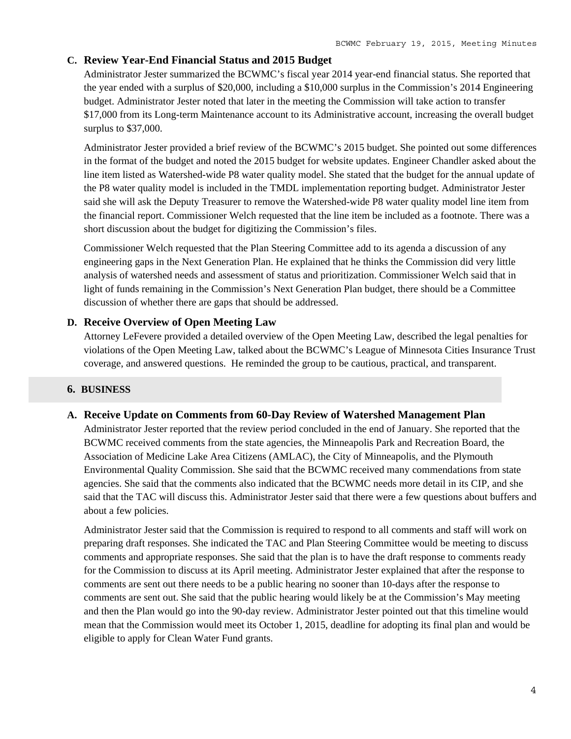## **C. Review Year-End Financial Status and 2015 Budget**

Administrator Jester summarized the BCWMC's fiscal year 2014 year-end financial status. She reported that the year ended with a surplus of \$20,000, including a \$10,000 surplus in the Commission's 2014 Engineering budget. Administrator Jester noted that later in the meeting the Commission will take action to transfer \$17,000 from its Long-term Maintenance account to its Administrative account, increasing the overall budget surplus to \$37,000.

Administrator Jester provided a brief review of the BCWMC's 2015 budget. She pointed out some differences in the format of the budget and noted the 2015 budget for website updates. Engineer Chandler asked about the line item listed as Watershed-wide P8 water quality model. She stated that the budget for the annual update of the P8 water quality model is included in the TMDL implementation reporting budget. Administrator Jester said she will ask the Deputy Treasurer to remove the Watershed-wide P8 water quality model line item from the financial report. Commissioner Welch requested that the line item be included as a footnote. There was a short discussion about the budget for digitizing the Commission's files.

Commissioner Welch requested that the Plan Steering Committee add to its agenda a discussion of any engineering gaps in the Next Generation Plan. He explained that he thinks the Commission did very little analysis of watershed needs and assessment of status and prioritization. Commissioner Welch said that in light of funds remaining in the Commission's Next Generation Plan budget, there should be a Committee discussion of whether there are gaps that should be addressed.

# **D. Receive Overview of Open Meeting Law**

Attorney LeFevere provided a detailed overview of the Open Meeting Law, described the legal penalties for violations of the Open Meeting Law, talked about the BCWMC's League of Minnesota Cities Insurance Trust coverage, and answered questions. He reminded the group to be cautious, practical, and transparent.

## **6. BUSINESS**

## **A. Receive Update on Comments from 60-Day Review of Watershed Management Plan**

Administrator Jester reported that the review period concluded in the end of January. She reported that the BCWMC received comments from the state agencies, the Minneapolis Park and Recreation Board, the Association of Medicine Lake Area Citizens (AMLAC), the City of Minneapolis, and the Plymouth Environmental Quality Commission. She said that the BCWMC received many commendations from state agencies. She said that the comments also indicated that the BCWMC needs more detail in its CIP, and she said that the TAC will discuss this. Administrator Jester said that there were a few questions about buffers and about a few policies.

Administrator Jester said that the Commission is required to respond to all comments and staff will work on preparing draft responses. She indicated the TAC and Plan Steering Committee would be meeting to discuss comments and appropriate responses. She said that the plan is to have the draft response to comments ready for the Commission to discuss at its April meeting. Administrator Jester explained that after the response to comments are sent out there needs to be a public hearing no sooner than 10-days after the response to comments are sent out. She said that the public hearing would likely be at the Commission's May meeting and then the Plan would go into the 90-day review. Administrator Jester pointed out that this timeline would mean that the Commission would meet its October 1, 2015, deadline for adopting its final plan and would be eligible to apply for Clean Water Fund grants.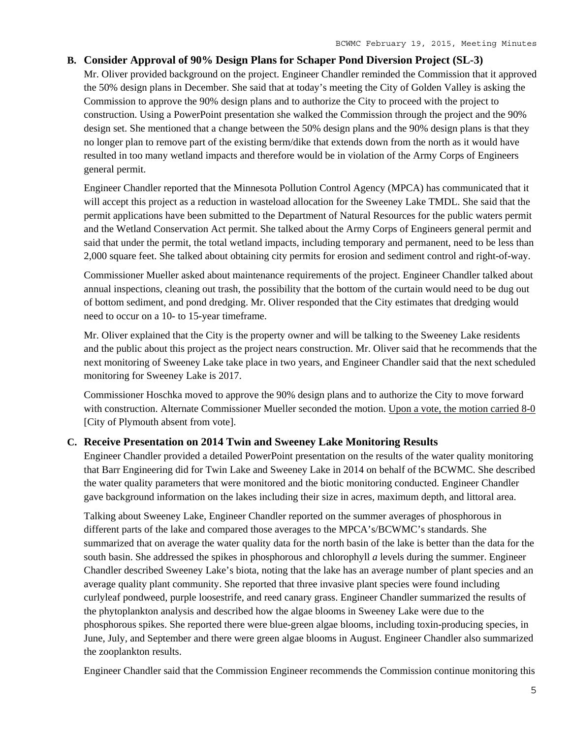# **B. Consider Approval of 90% Design Plans for Schaper Pond Diversion Project (SL-3)**

Mr. Oliver provided background on the project. Engineer Chandler reminded the Commission that it approved the 50% design plans in December. She said that at today's meeting the City of Golden Valley is asking the Commission to approve the 90% design plans and to authorize the City to proceed with the project to construction. Using a PowerPoint presentation she walked the Commission through the project and the 90% design set. She mentioned that a change between the 50% design plans and the 90% design plans is that they no longer plan to remove part of the existing berm/dike that extends down from the north as it would have resulted in too many wetland impacts and therefore would be in violation of the Army Corps of Engineers general permit.

Engineer Chandler reported that the Minnesota Pollution Control Agency (MPCA) has communicated that it will accept this project as a reduction in wasteload allocation for the Sweeney Lake TMDL. She said that the permit applications have been submitted to the Department of Natural Resources for the public waters permit and the Wetland Conservation Act permit. She talked about the Army Corps of Engineers general permit and said that under the permit, the total wetland impacts, including temporary and permanent, need to be less than 2,000 square feet. She talked about obtaining city permits for erosion and sediment control and right-of-way.

Commissioner Mueller asked about maintenance requirements of the project. Engineer Chandler talked about annual inspections, cleaning out trash, the possibility that the bottom of the curtain would need to be dug out of bottom sediment, and pond dredging. Mr. Oliver responded that the City estimates that dredging would need to occur on a 10- to 15-year timeframe.

Mr. Oliver explained that the City is the property owner and will be talking to the Sweeney Lake residents and the public about this project as the project nears construction. Mr. Oliver said that he recommends that the next monitoring of Sweeney Lake take place in two years, and Engineer Chandler said that the next scheduled monitoring for Sweeney Lake is 2017.

Commissioner Hoschka moved to approve the 90% design plans and to authorize the City to move forward with construction. Alternate Commissioner Mueller seconded the motion. Upon a vote, the motion carried 8-0 [City of Plymouth absent from vote].

# **C. Receive Presentation on 2014 Twin and Sweeney Lake Monitoring Results**

Engineer Chandler provided a detailed PowerPoint presentation on the results of the water quality monitoring that Barr Engineering did for Twin Lake and Sweeney Lake in 2014 on behalf of the BCWMC. She described the water quality parameters that were monitored and the biotic monitoring conducted. Engineer Chandler gave background information on the lakes including their size in acres, maximum depth, and littoral area.

Talking about Sweeney Lake, Engineer Chandler reported on the summer averages of phosphorous in different parts of the lake and compared those averages to the MPCA's/BCWMC's standards. She summarized that on average the water quality data for the north basin of the lake is better than the data for the south basin. She addressed the spikes in phosphorous and chlorophyll *a* levels during the summer. Engineer Chandler described Sweeney Lake's biota, noting that the lake has an average number of plant species and an average quality plant community. She reported that three invasive plant species were found including curlyleaf pondweed, purple loosestrife, and reed canary grass. Engineer Chandler summarized the results of the phytoplankton analysis and described how the algae blooms in Sweeney Lake were due to the phosphorous spikes. She reported there were blue-green algae blooms, including toxin-producing species, in June, July, and September and there were green algae blooms in August. Engineer Chandler also summarized the zooplankton results.

Engineer Chandler said that the Commission Engineer recommends the Commission continue monitoring this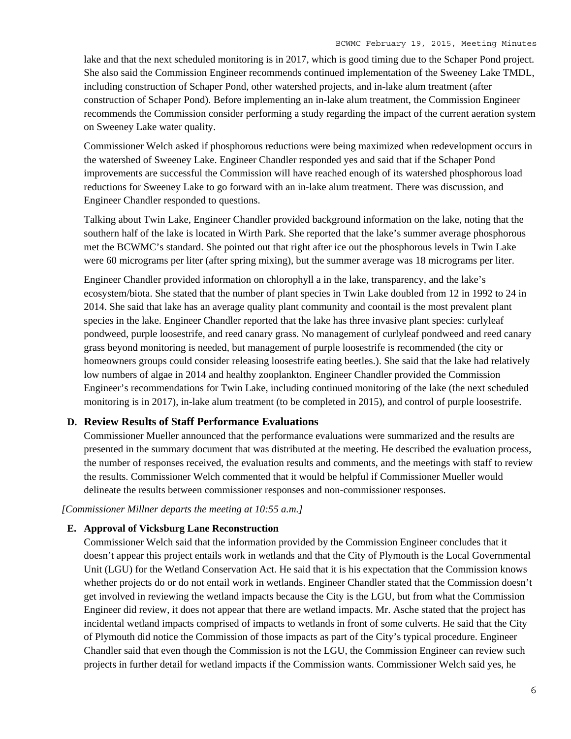lake and that the next scheduled monitoring is in 2017, which is good timing due to the Schaper Pond project. She also said the Commission Engineer recommends continued implementation of the Sweeney Lake TMDL, including construction of Schaper Pond, other watershed projects, and in-lake alum treatment (after construction of Schaper Pond). Before implementing an in-lake alum treatment, the Commission Engineer recommends the Commission consider performing a study regarding the impact of the current aeration system on Sweeney Lake water quality.

Commissioner Welch asked if phosphorous reductions were being maximized when redevelopment occurs in the watershed of Sweeney Lake. Engineer Chandler responded yes and said that if the Schaper Pond improvements are successful the Commission will have reached enough of its watershed phosphorous load reductions for Sweeney Lake to go forward with an in-lake alum treatment. There was discussion, and Engineer Chandler responded to questions.

Talking about Twin Lake, Engineer Chandler provided background information on the lake, noting that the southern half of the lake is located in Wirth Park. She reported that the lake's summer average phosphorous met the BCWMC's standard. She pointed out that right after ice out the phosphorous levels in Twin Lake were 60 micrograms per liter (after spring mixing), but the summer average was 18 micrograms per liter.

Engineer Chandler provided information on chlorophyll a in the lake, transparency, and the lake's ecosystem/biota. She stated that the number of plant species in Twin Lake doubled from 12 in 1992 to 24 in 2014. She said that lake has an average quality plant community and coontail is the most prevalent plant species in the lake. Engineer Chandler reported that the lake has three invasive plant species: curlyleaf pondweed, purple loosestrife, and reed canary grass. No management of curlyleaf pondweed and reed canary grass beyond monitoring is needed, but management of purple loosestrife is recommended (the city or homeowners groups could consider releasing loosestrife eating beetles.). She said that the lake had relatively low numbers of algae in 2014 and healthy zooplankton. Engineer Chandler provided the Commission Engineer's recommendations for Twin Lake, including continued monitoring of the lake (the next scheduled monitoring is in 2017), in-lake alum treatment (to be completed in 2015), and control of purple loosestrife.

### **D. Review Results of Staff Performance Evaluations**

Commissioner Mueller announced that the performance evaluations were summarized and the results are presented in the summary document that was distributed at the meeting. He described the evaluation process, the number of responses received, the evaluation results and comments, and the meetings with staff to review the results. Commissioner Welch commented that it would be helpful if Commissioner Mueller would delineate the results between commissioner responses and non-commissioner responses.

*[Commissioner Millner departs the meeting at 10:55 a.m.]* 

## **E. Approval of Vicksburg Lane Reconstruction**

Commissioner Welch said that the information provided by the Commission Engineer concludes that it doesn't appear this project entails work in wetlands and that the City of Plymouth is the Local Governmental Unit (LGU) for the Wetland Conservation Act. He said that it is his expectation that the Commission knows whether projects do or do not entail work in wetlands. Engineer Chandler stated that the Commission doesn't get involved in reviewing the wetland impacts because the City is the LGU, but from what the Commission Engineer did review, it does not appear that there are wetland impacts. Mr. Asche stated that the project has incidental wetland impacts comprised of impacts to wetlands in front of some culverts. He said that the City of Plymouth did notice the Commission of those impacts as part of the City's typical procedure. Engineer Chandler said that even though the Commission is not the LGU, the Commission Engineer can review such projects in further detail for wetland impacts if the Commission wants. Commissioner Welch said yes, he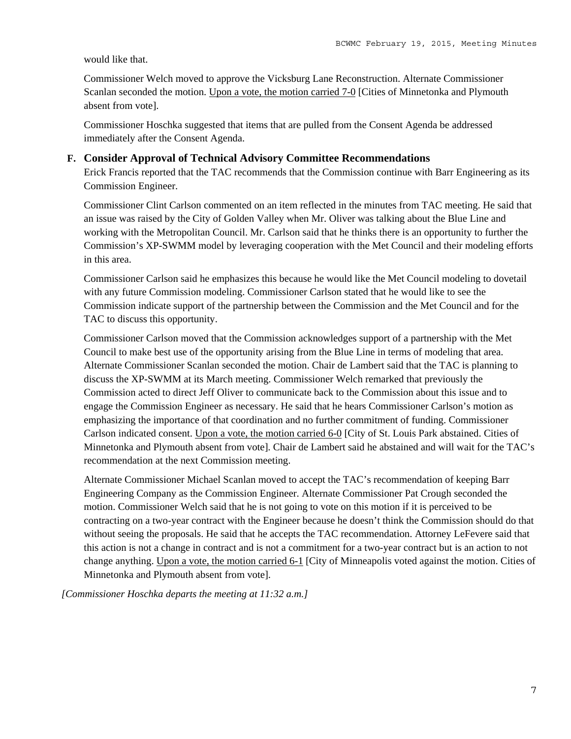#### would like that.

Commissioner Welch moved to approve the Vicksburg Lane Reconstruction. Alternate Commissioner Scanlan seconded the motion. Upon a vote, the motion carried 7-0 [Cities of Minnetonka and Plymouth absent from vote].

Commissioner Hoschka suggested that items that are pulled from the Consent Agenda be addressed immediately after the Consent Agenda.

## **F. Consider Approval of Technical Advisory Committee Recommendations**

Erick Francis reported that the TAC recommends that the Commission continue with Barr Engineering as its Commission Engineer.

Commissioner Clint Carlson commented on an item reflected in the minutes from TAC meeting. He said that an issue was raised by the City of Golden Valley when Mr. Oliver was talking about the Blue Line and working with the Metropolitan Council. Mr. Carlson said that he thinks there is an opportunity to further the Commission's XP-SWMM model by leveraging cooperation with the Met Council and their modeling efforts in this area.

Commissioner Carlson said he emphasizes this because he would like the Met Council modeling to dovetail with any future Commission modeling. Commissioner Carlson stated that he would like to see the Commission indicate support of the partnership between the Commission and the Met Council and for the TAC to discuss this opportunity.

Commissioner Carlson moved that the Commission acknowledges support of a partnership with the Met Council to make best use of the opportunity arising from the Blue Line in terms of modeling that area. Alternate Commissioner Scanlan seconded the motion. Chair de Lambert said that the TAC is planning to discuss the XP-SWMM at its March meeting. Commissioner Welch remarked that previously the Commission acted to direct Jeff Oliver to communicate back to the Commission about this issue and to engage the Commission Engineer as necessary. He said that he hears Commissioner Carlson's motion as emphasizing the importance of that coordination and no further commitment of funding. Commissioner Carlson indicated consent. Upon a vote, the motion carried 6-0 [City of St. Louis Park abstained. Cities of Minnetonka and Plymouth absent from vote]. Chair de Lambert said he abstained and will wait for the TAC's recommendation at the next Commission meeting.

Alternate Commissioner Michael Scanlan moved to accept the TAC's recommendation of keeping Barr Engineering Company as the Commission Engineer. Alternate Commissioner Pat Crough seconded the motion. Commissioner Welch said that he is not going to vote on this motion if it is perceived to be contracting on a two-year contract with the Engineer because he doesn't think the Commission should do that without seeing the proposals. He said that he accepts the TAC recommendation. Attorney LeFevere said that this action is not a change in contract and is not a commitment for a two-year contract but is an action to not change anything. Upon a vote, the motion carried 6-1 [City of Minneapolis voted against the motion. Cities of Minnetonka and Plymouth absent from vote].

*[Commissioner Hoschka departs the meeting at 11:32 a.m.]*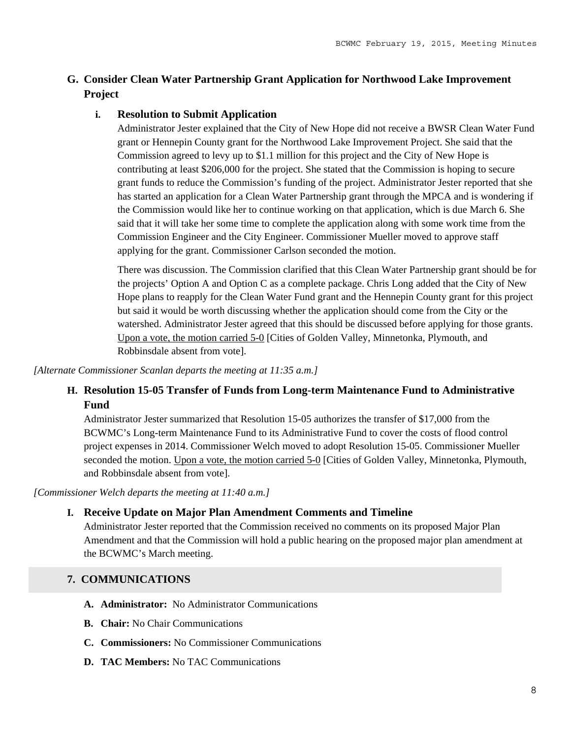# **G. Consider Clean Water Partnership Grant Application for Northwood Lake Improvement Project**

# **i. Resolution to Submit Application**

Administrator Jester explained that the City of New Hope did not receive a BWSR Clean Water Fund grant or Hennepin County grant for the Northwood Lake Improvement Project. She said that the Commission agreed to levy up to \$1.1 million for this project and the City of New Hope is contributing at least \$206,000 for the project. She stated that the Commission is hoping to secure grant funds to reduce the Commission's funding of the project. Administrator Jester reported that she has started an application for a Clean Water Partnership grant through the MPCA and is wondering if the Commission would like her to continue working on that application, which is due March 6. She said that it will take her some time to complete the application along with some work time from the Commission Engineer and the City Engineer. Commissioner Mueller moved to approve staff applying for the grant. Commissioner Carlson seconded the motion.

There was discussion. The Commission clarified that this Clean Water Partnership grant should be for the projects' Option A and Option C as a complete package. Chris Long added that the City of New Hope plans to reapply for the Clean Water Fund grant and the Hennepin County grant for this project but said it would be worth discussing whether the application should come from the City or the watershed. Administrator Jester agreed that this should be discussed before applying for those grants. Upon a vote, the motion carried 5-0 [Cities of Golden Valley, Minnetonka, Plymouth, and Robbinsdale absent from vote].

*[Alternate Commissioner Scanlan departs the meeting at 11:35 a.m.]*

# **H. Resolution 15-05 Transfer of Funds from Long-term Maintenance Fund to Administrative Fund**

Administrator Jester summarized that Resolution 15-05 authorizes the transfer of \$17,000 from the BCWMC's Long-term Maintenance Fund to its Administrative Fund to cover the costs of flood control project expenses in 2014. Commissioner Welch moved to adopt Resolution 15-05. Commissioner Mueller seconded the motion. Upon a vote, the motion carried 5-0 [Cities of Golden Valley, Minnetonka, Plymouth, and Robbinsdale absent from vote].

*[Commissioner Welch departs the meeting at 11:40 a.m.]*

# **I. Receive Update on Major Plan Amendment Comments and Timeline**

Administrator Jester reported that the Commission received no comments on its proposed Major Plan Amendment and that the Commission will hold a public hearing on the proposed major plan amendment at the BCWMC's March meeting.

# **7. COMMUNICATIONS**

- **A. Administrator:** No Administrator Communications
- **B. Chair:** No Chair Communications
- **C. Commissioners:** No Commissioner Communications
- **D. TAC Members:** No TAC Communications